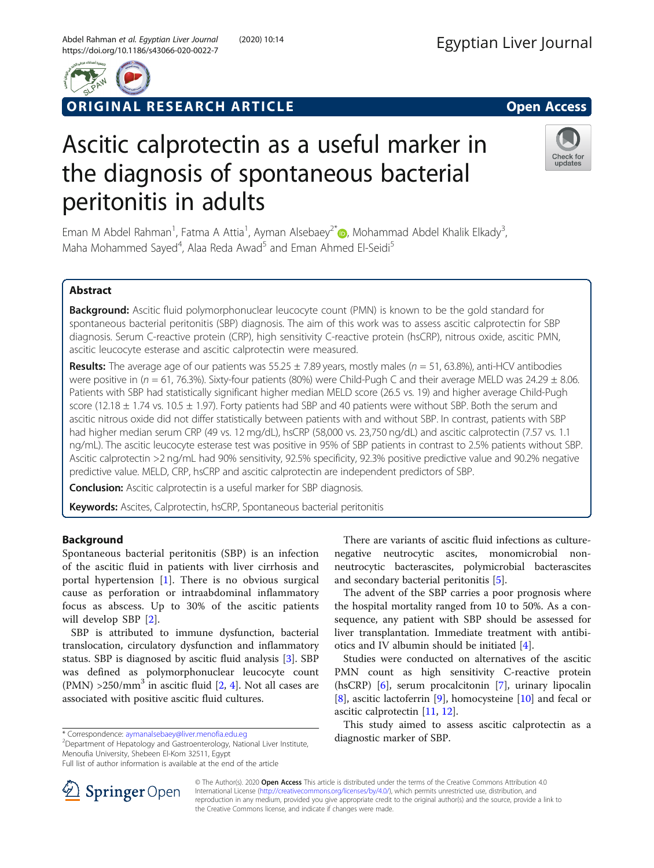

ORIGINAL RESEARCH ARTICLE **Solution Contract Contract Contract Contract Contract Contract Contract Contract Contract Contract Contract Contract Contract Contract Contract Contract Contract Contract Contract Contract Contra** 

## Check for updates

# Ascitic calprotectin as a useful marker in the diagnosis of spontaneous bacterial peritonitis in adults

Eman M Abdel Rahman<sup>1</sup>, Fatma A Attia<sup>1</sup>, Ayman Alsebaey<sup>2[\\*](https://orcid.org/0000-0003-3781-2312)</sup> (@, Mohammad Abdel Khalik Elkady<sup>3</sup> , Maha Mohammed Sayed<sup>4</sup>, Alaa Reda Awad<sup>5</sup> and Eman Ahmed El-Seidi<sup>5</sup>

### Abstract

Background: Ascitic fluid polymorphonuclear leucocyte count (PMN) is known to be the gold standard for spontaneous bacterial peritonitis (SBP) diagnosis. The aim of this work was to assess ascitic calprotectin for SBP diagnosis. Serum C-reactive protein (CRP), high sensitivity C-reactive protein (hsCRP), nitrous oxide, ascitic PMN, ascitic leucocyte esterase and ascitic calprotectin were measured.

**Results:** The average age of our patients was  $55.25 \pm 7.89$  years, mostly males ( $n = 51$ , 63.8%), anti-HCV antibodies were positive in ( $n = 61, 76.3\%$ ). Sixty-four patients (80%) were Child-Pugh C and their average MELD was 24.29  $\pm$  8.06. Patients with SBP had statistically significant higher median MELD score (26.5 vs. 19) and higher average Child-Pugh score (12.18  $\pm$  1.74 vs. 10.5  $\pm$  1.97). Forty patients had SBP and 40 patients were without SBP. Both the serum and ascitic nitrous oxide did not differ statistically between patients with and without SBP. In contrast, patients with SBP had higher median serum CRP (49 vs. 12 mg/dL), hsCRP (58,000 vs. 23,750 ng/dL) and ascitic calprotectin (7.57 vs. 1.1 ng/mL). The ascitic leucocyte esterase test was positive in 95% of SBP patients in contrast to 2.5% patients without SBP. Ascitic calprotectin >2 ng/mL had 90% sensitivity, 92.5% specificity, 92.3% positive predictive value and 90.2% negative predictive value. MELD, CRP, hsCRP and ascitic calprotectin are independent predictors of SBP.

**Conclusion:** Ascitic calprotectin is a useful marker for SBP diagnosis.

Keywords: Ascites, Calprotectin, hsCRP, Spontaneous bacterial peritonitis

#### Background

Spontaneous bacterial peritonitis (SBP) is an infection of the ascitic fluid in patients with liver cirrhosis and portal hypertension [[1\]](#page-4-0). There is no obvious surgical cause as perforation or intraabdominal inflammatory focus as abscess. Up to 30% of the ascitic patients will develop SBP [\[2](#page-4-0)].

SBP is attributed to immune dysfunction, bacterial translocation, circulatory dysfunction and inflammatory status. SBP is diagnosed by ascitic fluid analysis [[3](#page-4-0)]. SBP was defined as polymorphonuclear leucocyte count  $(PMN) > 250/mm<sup>3</sup>$  in ascitic fluid  $[2, 4]$  $[2, 4]$  $[2, 4]$  $[2, 4]$ . Not all cases are associated with positive ascitic fluid cultures.

\* Correspondence: [aymanalsebaey@liver.menofia.edu.eg](mailto:aymanalsebaey@liver.menofia.edu.eg) <sup>2</sup>

 $2$ Department of Hepatology and Gastroenterology, National Liver Institute, Menoufia University, Shebeen El-Kom 32511, Egypt



The advent of the SBP carries a poor prognosis where the hospital mortality ranged from 10 to 50%. As a consequence, any patient with SBP should be assessed for liver transplantation. Immediate treatment with antibiotics and IV albumin should be initiated [\[4](#page-4-0)].

Studies were conducted on alternatives of the ascitic PMN count as high sensitivity C-reactive protein (hsCRP) [[6](#page-4-0)], serum procalcitonin [\[7](#page-4-0)], urinary lipocalin  $[8]$  $[8]$ , ascitic lactoferrin  $[9]$ , homocysteine  $[10]$  $[10]$  and fecal or ascitic calprotectin [\[11](#page-4-0), [12](#page-4-0)].

This study aimed to assess ascitic calprotectin as a diagnostic marker of SBP.



© The Author(s). 2020 Open Access This article is distributed under the terms of the Creative Commons Attribution 4.0 International License ([http://creativecommons.org/licenses/by/4.0/\)](http://creativecommons.org/licenses/by/4.0/), which permits unrestricted use, distribution, and reproduction in any medium, provided you give appropriate credit to the original author(s) and the source, provide a link to the Creative Commons license, and indicate if changes were made.

Full list of author information is available at the end of the article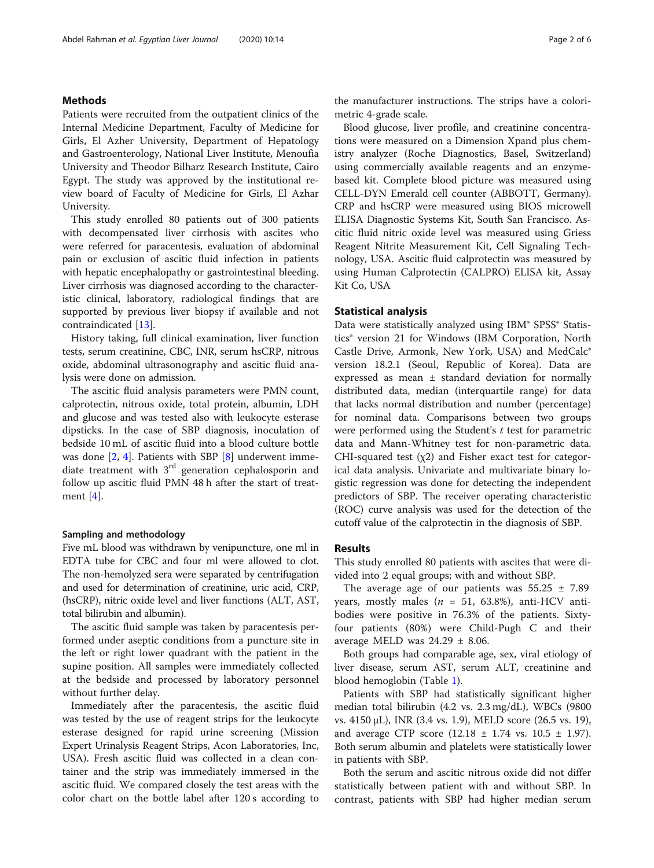#### Methods

Patients were recruited from the outpatient clinics of the Internal Medicine Department, Faculty of Medicine for Girls, El Azher University, Department of Hepatology and Gastroenterology, National Liver Institute, Menoufia University and Theodor Bilharz Research Institute, Cairo Egypt. The study was approved by the institutional review board of Faculty of Medicine for Girls, El Azhar University.

This study enrolled 80 patients out of 300 patients with decompensated liver cirrhosis with ascites who were referred for paracentesis, evaluation of abdominal pain or exclusion of ascitic fluid infection in patients with hepatic encephalopathy or gastrointestinal bleeding. Liver cirrhosis was diagnosed according to the characteristic clinical, laboratory, radiological findings that are supported by previous liver biopsy if available and not contraindicated [\[13](#page-4-0)].

History taking, full clinical examination, liver function tests, serum creatinine, CBC, INR, serum hsCRP, nitrous oxide, abdominal ultrasonography and ascitic fluid analysis were done on admission.

The ascitic fluid analysis parameters were PMN count, calprotectin, nitrous oxide, total protein, albumin, LDH and glucose and was tested also with leukocyte esterase dipsticks. In the case of SBP diagnosis, inoculation of bedside 10 mL of ascitic fluid into a blood culture bottle was done [[2,](#page-4-0) [4\]](#page-4-0). Patients with SBP [\[8](#page-4-0)] underwent immediate treatment with  $3<sup>rd</sup>$  generation cephalosporin and follow up ascitic fluid PMN 48 h after the start of treatment [[4\]](#page-4-0).

#### Sampling and methodology

Five mL blood was withdrawn by venipuncture, one ml in EDTA tube for CBC and four ml were allowed to clot. The non-hemolyzed sera were separated by centrifugation and used for determination of creatinine, uric acid, CRP, (hsCRP), nitric oxide level and liver functions (ALT, AST, total bilirubin and albumin).

The ascitic fluid sample was taken by paracentesis performed under aseptic conditions from a puncture site in the left or right lower quadrant with the patient in the supine position. All samples were immediately collected at the bedside and processed by laboratory personnel without further delay.

Immediately after the paracentesis, the ascitic fluid was tested by the use of reagent strips for the leukocyte esterase designed for rapid urine screening (Mission Expert Urinalysis Reagent Strips, Acon Laboratories, Inc, USA). Fresh ascitic fluid was collected in a clean container and the strip was immediately immersed in the ascitic fluid. We compared closely the test areas with the color chart on the bottle label after 120 s according to

the manufacturer instructions. The strips have a colorimetric 4-grade scale.

Blood glucose, liver profile, and creatinine concentrations were measured on a Dimension Xpand plus chemistry analyzer (Roche Diagnostics, Basel, Switzerland) using commercially available reagents and an enzymebased kit. Complete blood picture was measured using CELL-DYN Emerald cell counter (ABBOTT, Germany). CRP and hsCRP were measured using BIOS microwell ELISA Diagnostic Systems Kit, South San Francisco. Ascitic fluid nitric oxide level was measured using Griess Reagent Nitrite Measurement Kit, Cell Signaling Technology, USA. Ascitic fluid calprotectin was measured by using Human Calprotectin (CALPRO) ELISA kit, Assay Kit Co, USA

#### Statistical analysis

Data were statistically analyzed using IBM® SPSS® Statistics® version 21 for Windows (IBM Corporation, North Castle Drive, Armonk, New York, USA) and MedCalc® version 18.2.1 (Seoul, Republic of Korea). Data are expressed as mean ± standard deviation for normally distributed data, median (interquartile range) for data that lacks normal distribution and number (percentage) for nominal data. Comparisons between two groups were performed using the Student's  $t$  test for parametric data and Mann-Whitney test for non-parametric data. CHI-squared test  $(y2)$  and Fisher exact test for categorical data analysis. Univariate and multivariate binary logistic regression was done for detecting the independent predictors of SBP. The receiver operating characteristic (ROC) curve analysis was used for the detection of the cutoff value of the calprotectin in the diagnosis of SBP.

#### Results

This study enrolled 80 patients with ascites that were divided into 2 equal groups; with and without SBP.

The average age of our patients was  $55.25 \pm 7.89$ years, mostly males ( $n = 51, 63.8\%$ ), anti-HCV antibodies were positive in 76.3% of the patients. Sixtyfour patients (80%) were Child-Pugh C and their average MELD was  $24.29 \pm 8.06$ .

Both groups had comparable age, sex, viral etiology of liver disease, serum AST, serum ALT, creatinine and blood hemoglobin (Table [1](#page-2-0)).

Patients with SBP had statistically significant higher median total bilirubin (4.2 vs. 2.3 mg/dL), WBCs (9800 vs. 4150 μL), INR (3.4 vs. 1.9), MELD score (26.5 vs. 19), and average CTP score  $(12.18 \pm 1.74 \text{ vs. } 10.5 \pm 1.97)$ . Both serum albumin and platelets were statistically lower in patients with SBP.

Both the serum and ascitic nitrous oxide did not differ statistically between patient with and without SBP. In contrast, patients with SBP had higher median serum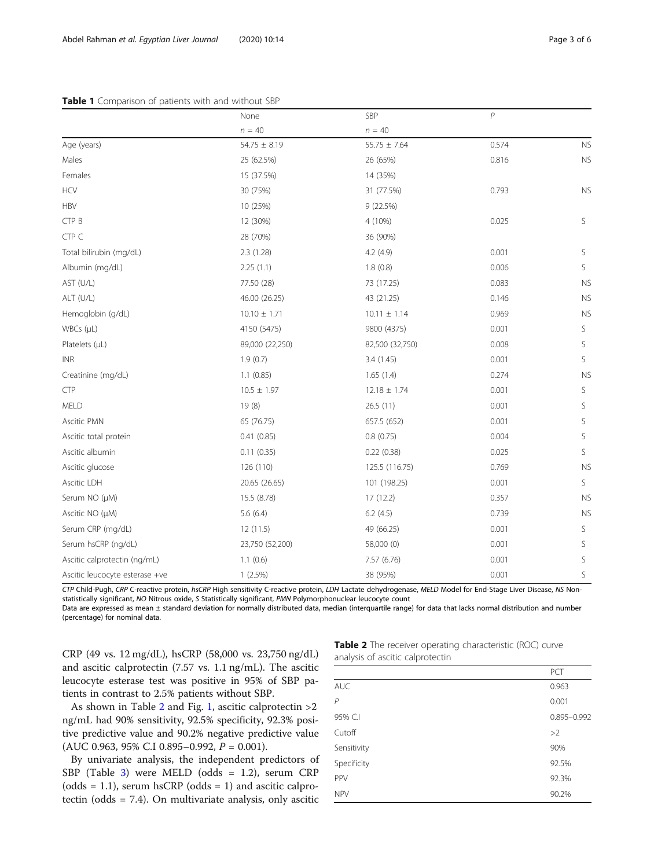#### <span id="page-2-0"></span>Table 1 Comparison of patients with and without SBP

|                                | None             | SBP              | $\overline{P}$ |           |
|--------------------------------|------------------|------------------|----------------|-----------|
|                                | $n = 40$         | $n = 40$         |                |           |
| Age (years)                    | $54.75 \pm 8.19$ | $55.75 \pm 7.64$ | 0.574          | <b>NS</b> |
| Males                          | 25 (62.5%)       | 26 (65%)         | 0.816          | <b>NS</b> |
| Females                        | 15 (37.5%)       | 14 (35%)         |                |           |
| <b>HCV</b>                     | 30 (75%)         | 31 (77.5%)       | 0.793          | <b>NS</b> |
| <b>HBV</b>                     | 10 (25%)         | 9(22.5%)         |                |           |
| CTP B                          | 12 (30%)         | 4 (10%)          | 0.025          | S         |
| CTP C                          | 28 (70%)         | 36 (90%)         |                |           |
| Total bilirubin (mg/dL)        | 2.3(1.28)        | 4.2(4.9)         | 0.001          | S         |
| Albumin (mg/dL)                | 2.25(1.1)        | 1.8(0.8)         | 0.006          | S.        |
| AST (U/L)                      | 77.50 (28)       | 73 (17.25)       | 0.083          | <b>NS</b> |
| ALT (U/L)                      | 46.00 (26.25)    | 43 (21.25)       | 0.146          | <b>NS</b> |
| Hemoglobin (g/dL)              | $10.10 \pm 1.71$ | $10.11 \pm 1.14$ | 0.969          | <b>NS</b> |
| $WBCs$ ( $\mu L$ )             | 4150 (5475)      | 9800 (4375)      | 0.001          | S         |
| Platelets (µL)                 | 89,000 (22,250)  | 82,500 (32,750)  | 0.008          | S         |
| <b>INR</b>                     | 1.9(0.7)         | 3.4(1.45)        | 0.001          | S         |
| Creatinine (mg/dL)             | 1.1(0.85)        | 1.65(1.4)        | 0.274          | <b>NS</b> |
| CTP                            | $10.5 \pm 1.97$  | $12.18 \pm 1.74$ | 0.001          | S         |
| MELD                           | 19(8)            | 26.5(11)         | 0.001          | S         |
| Ascitic PMN                    | 65 (76.75)       | 657.5 (652)      | 0.001          | S         |
| Ascitic total protein          | 0.41(0.85)       | 0.8(0.75)        | 0.004          | S         |
| Ascitic albumin                | 0.11(0.35)       | 0.22(0.38)       | 0.025          | S         |
| Ascitic glucose                | 126 (110)        | 125.5 (116.75)   | 0.769          | <b>NS</b> |
| Ascitic LDH                    | 20.65 (26.65)    | 101 (198.25)     | 0.001          | S         |
| Serum NO (µM)                  | 15.5 (8.78)      | 17 (12.2)        | 0.357          | <b>NS</b> |
| Ascitic NO (µM)                | 5.6(6.4)         | 6.2(4.5)         | 0.739          | <b>NS</b> |
| Serum CRP (mg/dL)              | 12 (11.5)        | 49 (66.25)       | 0.001          | S         |
| Serum hsCRP (ng/dL)            | 23,750 (52,200)  | 58,000 (0)       | 0.001          | S         |
| Ascitic calprotectin (ng/mL)   | 1.1(0.6)         | 7.57 (6.76)      | 0.001          | S         |
| Ascitic leucocyte esterase +ve | $1(2.5\%)$       | 38 (95%)         | 0.001          | S         |

CTP Child-Pugh, CRP C-reactive protein, hsCRP High sensitivity C-reactive protein, LDH Lactate dehydrogenase, MELD Model for End-Stage Liver Disease, NS Nonstatistically significant, NO Nitrous oxide, S Statistically significant, PMN Polymorphonuclear leucocyte count

Data are expressed as mean ± standard deviation for normally distributed data, median (interquartile range) for data that lacks normal distribution and number (percentage) for nominal data.

CRP (49 vs. 12 mg/dL), hsCRP (58,000 vs. 23,750 ng/dL) and ascitic calprotectin (7.57 vs. 1.1 ng/mL). The ascitic leucocyte esterase test was positive in 95% of SBP patients in contrast to 2.5% patients without SBP.

As shown in Table 2 and Fig. [1](#page-3-0), ascitic calprotectin >2 ng/mL had 90% sensitivity, 92.5% specificity, 92.3% positive predictive value and 90.2% negative predictive value (AUC 0.963, 95% C.I 0.895–0.992,  $P = 0.001$ ).

By univariate analysis, the independent predictors of SBP (Table [3\)](#page-3-0) were MELD (odds = 1.2), serum CRP  $(odds = 1.1)$ , serum hsCRP  $(odds = 1)$  and ascitic calprotectin (odds = 7.4). On multivariate analysis, only ascitic

|                                  | <b>Table 2</b> The receiver operating characteristic (ROC) curve |
|----------------------------------|------------------------------------------------------------------|
| analysis of ascitic calprotectin |                                                                  |

|                | PCT         |
|----------------|-------------|
| <b>AUC</b>     | 0.963       |
| $\overline{P}$ | 0.001       |
| 95% C.I        | 0.895-0.992 |
| Cutoff         | >2          |
| Sensitivity    | 90%         |
| Specificity    | 92.5%       |
| PPV            | 92.3%       |
| <b>NPV</b>     | 90.2%       |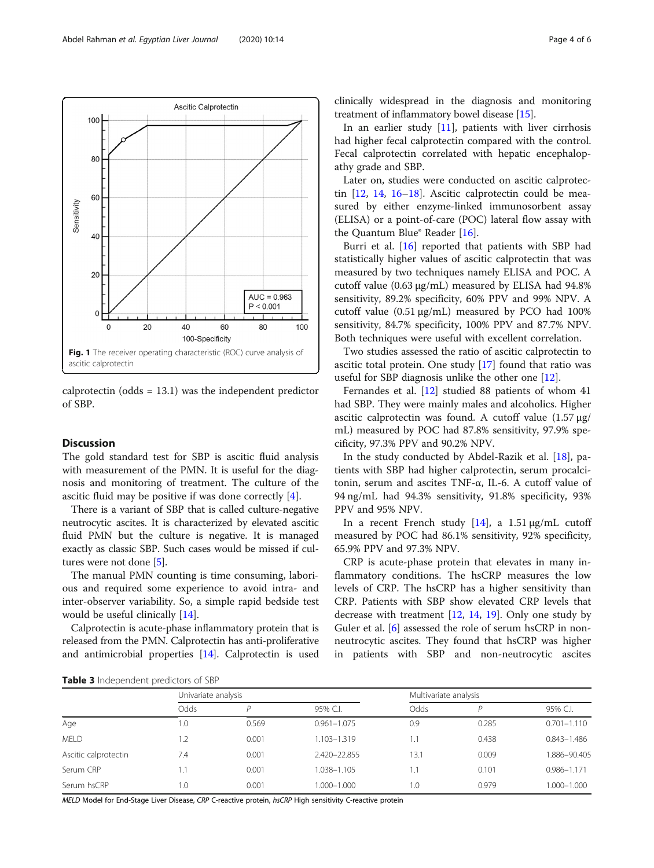<span id="page-3-0"></span>Abdel Rahman et al. Egyptian Liver Journal (2020) 10:14 Page 4 of 6



calprotectin (odds  $= 13.1$ ) was the independent predictor of SBP.

#### **Discussion**

The gold standard test for SBP is ascitic fluid analysis with measurement of the PMN. It is useful for the diagnosis and monitoring of treatment. The culture of the ascitic fluid may be positive if was done correctly [\[4](#page-4-0)].

There is a variant of SBP that is called culture-negative neutrocytic ascites. It is characterized by elevated ascitic fluid PMN but the culture is negative. It is managed exactly as classic SBP. Such cases would be missed if cul-tures were not done [\[5](#page-4-0)].

The manual PMN counting is time consuming, laborious and required some experience to avoid intra- and inter-observer variability. So, a simple rapid bedside test would be useful clinically [\[14](#page-4-0)].

Calprotectin is acute-phase inflammatory protein that is released from the PMN. Calprotectin has anti-proliferative and antimicrobial properties [[14](#page-4-0)]. Calprotectin is used

clinically widespread in the diagnosis and monitoring treatment of inflammatory bowel disease [\[15\]](#page-4-0).

In an earlier study [\[11](#page-4-0)], patients with liver cirrhosis had higher fecal calprotectin compared with the control. Fecal calprotectin correlated with hepatic encephalopathy grade and SBP.

Later on, studies were conducted on ascitic calprotectin [\[12](#page-4-0), [14,](#page-4-0) [16](#page-4-0)–[18\]](#page-5-0). Ascitic calprotectin could be measured by either enzyme-linked immunosorbent assay (ELISA) or a point-of-care (POC) lateral flow assay with the Quantum Blue® Reader [\[16\]](#page-4-0).

Burri et al. [[16\]](#page-4-0) reported that patients with SBP had statistically higher values of ascitic calprotectin that was measured by two techniques namely ELISA and POC. A cutoff value (0.63 μg/mL) measured by ELISA had 94.8% sensitivity, 89.2% specificity, 60% PPV and 99% NPV. A cutoff value (0.51 μg/mL) measured by PCO had 100% sensitivity, 84.7% specificity, 100% PPV and 87.7% NPV. Both techniques were useful with excellent correlation.

Two studies assessed the ratio of ascitic calprotectin to ascitic total protein. One study [[17\]](#page-4-0) found that ratio was useful for SBP diagnosis unlike the other one [[12\]](#page-4-0).

Fernandes et al. [[12](#page-4-0)] studied 88 patients of whom 41 had SBP. They were mainly males and alcoholics. Higher ascitic calprotectin was found. A cutoff value (1.57 μg/ mL) measured by POC had 87.8% sensitivity, 97.9% specificity, 97.3% PPV and 90.2% NPV.

In the study conducted by Abdel-Razik et al. [[18](#page-5-0)], patients with SBP had higher calprotectin, serum procalcitonin, serum and ascites TNF-α, IL-6. A cutoff value of 94 ng/mL had 94.3% sensitivity, 91.8% specificity, 93% PPV and 95% NPV.

In a recent French study  $[14]$  $[14]$  $[14]$ , a  $1.51 \mu$ g/mL cutoff measured by POC had 86.1% sensitivity, 92% specificity, 65.9% PPV and 97.3% NPV.

CRP is acute-phase protein that elevates in many inflammatory conditions. The hsCRP measures the low levels of CRP. The hsCRP has a higher sensitivity than CRP. Patients with SBP show elevated CRP levels that decrease with treatment [\[12](#page-4-0), [14,](#page-4-0) [19](#page-5-0)]. Only one study by Guler et al. [[6\]](#page-4-0) assessed the role of serum hsCRP in nonneutrocytic ascites. They found that hsCRP was higher in patients with SBP and non-neutrocytic ascites

Table 3 Independent predictors of SBP

|                      |      | Univariate analysis |                 |      | Multivariate analysis |                 |  |
|----------------------|------|---------------------|-----------------|------|-----------------------|-----------------|--|
|                      | Odds | D                   | 95% C.I.        | Odds |                       | 95% C.I.        |  |
| Age                  | 1.0  | 0.569               | $0.961 - 1.075$ | 0.9  | 0.285                 | $0.701 - 1.110$ |  |
| <b>MELD</b>          | 1.2  | 0.001               | 1.103-1.319     | 1.1  | 0.438                 | $0.843 - 1.486$ |  |
| Ascitic calprotectin | 7.4  | 0.001               | 2.420-22.855    | 13.1 | 0.009                 | 1.886-90.405    |  |
| Serum CRP            | 1.1  | 0.001               | 1.038-1.105     |      | 0.101                 | $0.986 - 1.171$ |  |
| Serum hsCRP          | 1.0  | 0.001               | 1.000-1.000     | 1.0  | 0.979                 | 1.000-1.000     |  |

MELD Model for End-Stage Liver Disease, CRP C-reactive protein, hsCRP High sensitivity C-reactive protein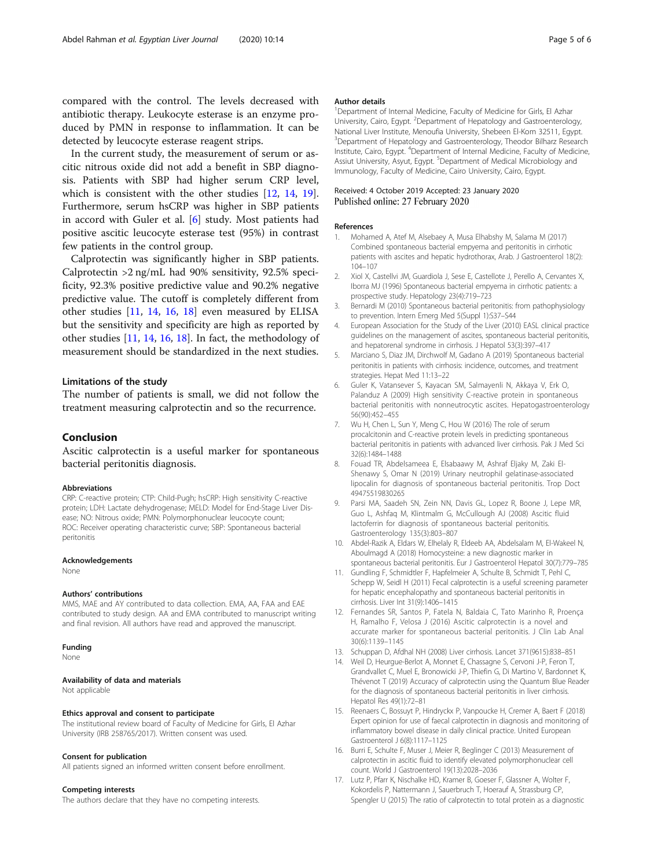<span id="page-4-0"></span>compared with the control. The levels decreased with antibiotic therapy. Leukocyte esterase is an enzyme produced by PMN in response to inflammation. It can be detected by leucocyte esterase reagent strips.

In the current study, the measurement of serum or ascitic nitrous oxide did not add a benefit in SBP diagnosis. Patients with SBP had higher serum CRP level, which is consistent with the other studies [12, 14, [19](#page-5-0)]. Furthermore, serum hsCRP was higher in SBP patients in accord with Guler et al. [6] study. Most patients had positive ascitic leucocyte esterase test (95%) in contrast few patients in the control group.

Calprotectin was significantly higher in SBP patients. Calprotectin >2 ng/mL had 90% sensitivity, 92.5% specificity, 92.3% positive predictive value and 90.2% negative predictive value. The cutoff is completely different from other studies [11, 14, 16, [18\]](#page-5-0) even measured by ELISA but the sensitivity and specificity are high as reported by other studies [11, 14, 16, [18](#page-5-0)]. In fact, the methodology of measurement should be standardized in the next studies.

#### Limitations of the study

The number of patients is small, we did not follow the treatment measuring calprotectin and so the recurrence.

#### Conclusion

Ascitic calprotectin is a useful marker for spontaneous bacterial peritonitis diagnosis.

#### Abbreviations

CRP: C-reactive protein; CTP: Child-Pugh; hsCRP: High sensitivity C-reactive protein; LDH: Lactate dehydrogenase; MELD: Model for End-Stage Liver Disease; NO: Nitrous oxide; PMN: Polymorphonuclear leucocyte count; ROC: Receiver operating characteristic curve; SBP: Spontaneous bacterial peritonitis

#### Acknowledgements

None

#### Authors' contributions

MMS, MAE and AY contributed to data collection. EMA, AA, FAA and EAE contributed to study design. AA and EMA contributed to manuscript writing and final revision. All authors have read and approved the manuscript.

#### Funding

None

#### Availability of data and materials

Not applicable

#### Ethics approval and consent to participate

The institutional review board of Faculty of Medicine for Girls, El Azhar University (IRB 258765/2017). Written consent was used.

#### Consent for publication

All patients signed an informed written consent before enrollment.

#### Competing interests

The authors declare that they have no competing interests.

#### Author details

<sup>1</sup>Department of Internal Medicine, Faculty of Medicine for Girls, El Azhar University, Cairo, Egypt. <sup>2</sup>Department of Hepatology and Gastroenterology, National Liver Institute, Menoufia University, Shebeen El-Kom 32511, Egypt. <sup>3</sup>Department of Hepatology and Gastroenterology, Theodor Bilharz Research Institute, Cairo, Egypt. <sup>4</sup>Department of Internal Medicine, Faculty of Medicine, Assiut University, Asyut, Egypt. <sup>5</sup>Department of Medical Microbiology and Immunology, Faculty of Medicine, Cairo University, Cairo, Egypt.

#### Received: 4 October 2019 Accepted: 23 January 2020 Published online: 27 February 2020

#### References

- 1. Mohamed A, Atef M, Alsebaey A, Musa Elhabshy M, Salama M (2017) Combined spontaneous bacterial empyema and peritonitis in cirrhotic patients with ascites and hepatic hydrothorax, Arab. J Gastroenterol 18(2): 104–107
- 2. Xiol X, Castellvi JM, Guardiola J, Sese E, Castellote J, Perello A, Cervantes X, Iborra MJ (1996) Spontaneous bacterial empyema in cirrhotic patients: a prospective study. Hepatology 23(4):719–723
- 3. Bernardi M (2010) Spontaneous bacterial peritonitis: from pathophysiology to prevention. Intern Emerg Med 5(Suppl 1):S37–S44
- 4. European Association for the Study of the Liver (2010) EASL clinical practice guidelines on the management of ascites, spontaneous bacterial peritonitis, and hepatorenal syndrome in cirrhosis. J Hepatol 53(3):397–417
- 5. Marciano S, Diaz JM, Dirchwolf M, Gadano A (2019) Spontaneous bacterial peritonitis in patients with cirrhosis: incidence, outcomes, and treatment strategies. Hepat Med 11:13–22
- 6. Guler K, Vatansever S, Kayacan SM, Salmayenli N, Akkaya V, Erk O, Palanduz A (2009) High sensitivity C-reactive protein in spontaneous bacterial peritonitis with nonneutrocytic ascites. Hepatogastroenterology 56(90):452–455
- 7. Wu H, Chen L, Sun Y, Meng C, Hou W (2016) The role of serum procalcitonin and C-reactive protein levels in predicting spontaneous bacterial peritonitis in patients with advanced liver cirrhosis. Pak J Med Sci 32(6):1484–1488
- 8. Fouad TR, Abdelsameea E, Elsabaawy M, Ashraf Eljaky M, Zaki El-Shenawy S, Omar N (2019) Urinary neutrophil gelatinase-associated lipocalin for diagnosis of spontaneous bacterial peritonitis. Trop Doct 49475519830265
- Parsi MA, Saadeh SN, Zein NN, Davis GL, Lopez R, Boone J, Lepe MR, Guo L, Ashfaq M, Klintmalm G, McCullough AJ (2008) Ascitic fluid lactoferrin for diagnosis of spontaneous bacterial peritonitis. Gastroenterology 135(3):803–807
- 10. Abdel-Razik A, Eldars W, Elhelaly R, Eldeeb AA, Abdelsalam M, El-Wakeel N, Aboulmagd A (2018) Homocysteine: a new diagnostic marker in spontaneous bacterial peritonitis. Eur J Gastroenterol Hepatol 30(7):779–785
- 11. Gundling F, Schmidtler F, Hapfelmeier A, Schulte B, Schmidt T, Pehl C, Schepp W, Seidl H (2011) Fecal calprotectin is a useful screening parameter for hepatic encephalopathy and spontaneous bacterial peritonitis in cirrhosis. Liver Int 31(9):1406–1415
- 12. Fernandes SR, Santos P, Fatela N, Baldaia C, Tato Marinho R, Proença H, Ramalho F, Velosa J (2016) Ascitic calprotectin is a novel and accurate marker for spontaneous bacterial peritonitis. J Clin Lab Anal 30(6):1139–1145
- 13. Schuppan D, Afdhal NH (2008) Liver cirrhosis. Lancet 371(9615):838–851
- 14. Weil D, Heurgue-Berlot A, Monnet E, Chassagne S, Cervoni J-P, Feron T, Grandvallet C, Muel E, Bronowicki J-P, Thiefin G, Di Martino V, Bardonnet K, Thévenot T (2019) Accuracy of calprotectin using the Quantum Blue Reader for the diagnosis of spontaneous bacterial peritonitis in liver cirrhosis. Hepatol Res 49(1):72–81
- 15. Reenaers C, Bossuyt P, Hindryckx P, Vanpoucke H, Cremer A, Baert F (2018) Expert opinion for use of faecal calprotectin in diagnosis and monitoring of inflammatory bowel disease in daily clinical practice. United European Gastroenterol J 6(8):1117–1125
- 16. Burri E, Schulte F, Muser J, Meier R, Beglinger C (2013) Measurement of calprotectin in ascitic fluid to identify elevated polymorphonuclear cell count. World J Gastroenterol 19(13):2028–2036
- 17. Lutz P, Pfarr K, Nischalke HD, Kramer B, Goeser F, Glassner A, Wolter F, Kokordelis P, Nattermann J, Sauerbruch T, Hoerauf A, Strassburg CP, Spengler U (2015) The ratio of calprotectin to total protein as a diagnostic